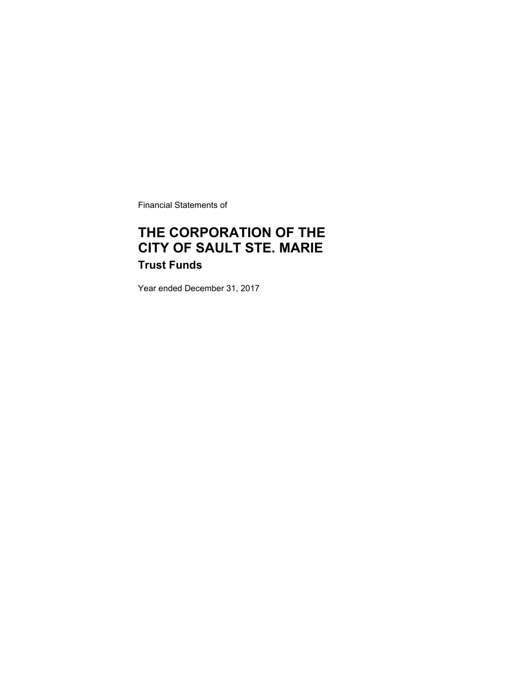Financial Statements of

# **THE CORPORATION OF THE CITY OF SAULT STE. MARIE Trust Funds**

Year ended December 31, 2017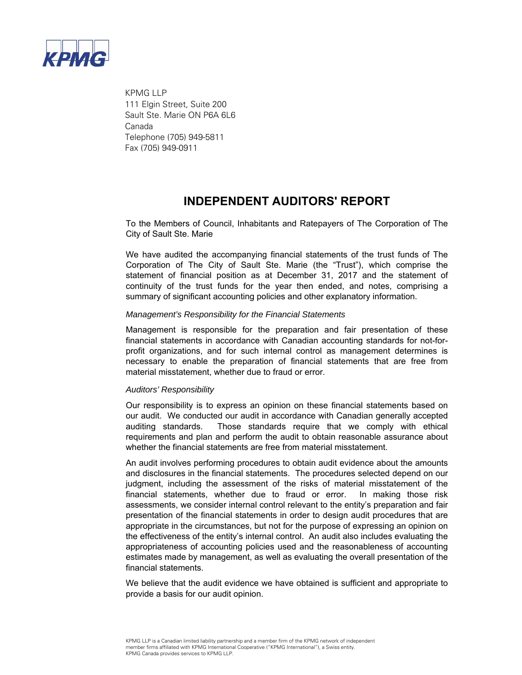

 KPMG LLP 111 Elgin Street, Suite 200 Sault Ste. Marie ON P6A 6L6 Canada Telephone (705) 949-5811 Fax (705) 949-0911

### **INDEPENDENT AUDITORS' REPORT**

To the Members of Council, Inhabitants and Ratepayers of The Corporation of The City of Sault Ste. Marie

We have audited the accompanying financial statements of the trust funds of The Corporation of The City of Sault Ste. Marie (the "Trust"), which comprise the statement of financial position as at December 31, 2017 and the statement of continuity of the trust funds for the year then ended, and notes, comprising a summary of significant accounting policies and other explanatory information.

### *Management's Responsibility for the Financial Statements*

Management is responsible for the preparation and fair presentation of these financial statements in accordance with Canadian accounting standards for not-forprofit organizations, and for such internal control as management determines is necessary to enable the preparation of financial statements that are free from material misstatement, whether due to fraud or error.

### *Auditors' Responsibility*

Our responsibility is to express an opinion on these financial statements based on our audit. We conducted our audit in accordance with Canadian generally accepted auditing standards. Those standards require that we comply with ethical requirements and plan and perform the audit to obtain reasonable assurance about whether the financial statements are free from material misstatement.

An audit involves performing procedures to obtain audit evidence about the amounts and disclosures in the financial statements. The procedures selected depend on our judgment, including the assessment of the risks of material misstatement of the financial statements, whether due to fraud or error. In making those risk assessments, we consider internal control relevant to the entity's preparation and fair presentation of the financial statements in order to design audit procedures that are appropriate in the circumstances, but not for the purpose of expressing an opinion on the effectiveness of the entity's internal control.An audit also includes evaluating the appropriateness of accounting policies used and the reasonableness of accounting estimates made by management, as well as evaluating the overall presentation of the financial statements.

We believe that the audit evidence we have obtained is sufficient and appropriate to provide a basis for our audit opinion.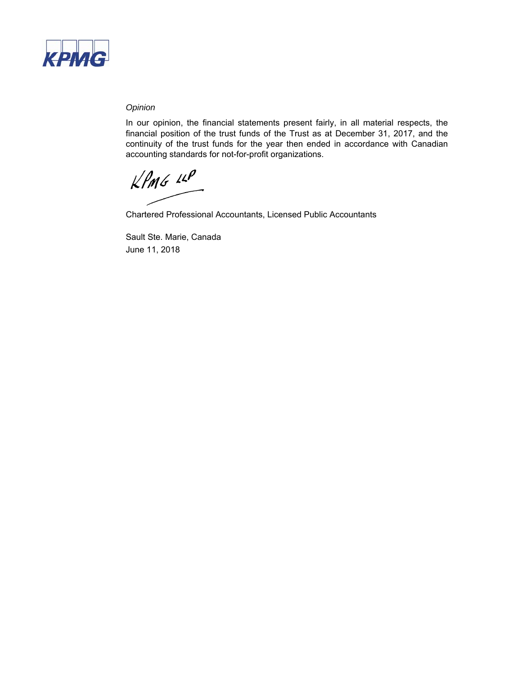

### *Opinion*

In our opinion, the financial statements present fairly, in all material respects, the financial position of the trust funds of the Trust as at December 31, 2017, and the continuity of the trust funds for the year then ended in accordance with Canadian accounting standards for not-for-profit organizations.

 $KPMG$  14P

Chartered Professional Accountants, Licensed Public Accountants

Sault Ste. Marie, Canada June 11, 2018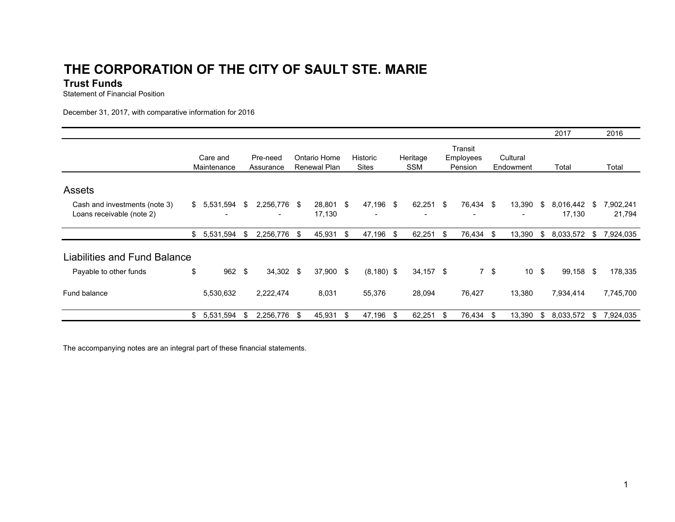# **THE CORPORATION OF THE CITY OF SAULT STE. MARIE**

### **Trust Funds**

Statement of Financial Position

December 31, 2017, with comparative information for 2016

|                                                            |    |                         |      |                                          |    |                                     |     |                          |    |                        |      |                                 |      |                       |    | 2017                |      | 2016                |
|------------------------------------------------------------|----|-------------------------|------|------------------------------------------|----|-------------------------------------|-----|--------------------------|----|------------------------|------|---------------------------------|------|-----------------------|----|---------------------|------|---------------------|
|                                                            |    | Care and<br>Maintenance |      | Pre-need<br>Assurance                    |    | Ontario Home<br><b>Renewal Plan</b> |     | Historic<br><b>Sites</b> |    | Heritage<br><b>SSM</b> |      | Transit<br>Employees<br>Pension |      | Cultural<br>Endowment |    | Total               |      | Total               |
| <b>Assets</b>                                              |    |                         |      |                                          |    |                                     |     |                          |    |                        |      |                                 |      |                       |    |                     |      |                     |
| Cash and investments (note 3)<br>Loans receivable (note 2) | S. | 5,531,594               | -SS  | 2,256,776 \$<br>$\overline{\phantom{0}}$ |    | 28,801 \$<br>17,130                 |     | 47,196                   | \$ | 62,251                 | - \$ | 76,434 \$<br>۰                  |      | 13,390                | S. | 8,016,442<br>17,130 | - \$ | 7,902,241<br>21,794 |
|                                                            | \$ | 5,531,594               | - \$ | 2,256,776 \$                             |    | 45,931                              | -\$ | 47,196                   | \$ | 62,251                 | - \$ | 76,434                          | -\$  | 13,390                | \$ | 8,033,572           | S.   | 7,924,035           |
| Liabilities and Fund Balance                               |    |                         |      |                                          |    |                                     |     |                          |    |                        |      |                                 |      |                       |    |                     |      |                     |
| Payable to other funds                                     | \$ | $962 \quad $$           |      | 34,302 \$                                |    | 37,900 \$                           |     | $(8, 180)$ \$            |    | $34,157$ \$            |      |                                 | 7 \$ | 10 <sup>1</sup>       | \$ | 99,158 \$           |      | 178,335             |
| Fund balance                                               |    | 5,530,632               |      | 2,222,474                                |    | 8,031                               |     | 55,376                   |    | 28,094                 |      | 76,427                          |      | 13,380                |    | 7,934,414           |      | 7,745,700           |
|                                                            | \$ | 5,531,594               |      | 2,256,776                                | -S | 45,931                              | \$  | 47,196                   | \$ | 62,251                 |      | 76,434                          |      | 13,390                | \$ | 8,033,572           | \$   | 7,924,035           |

The accompanying notes are an integral part of these financial statements.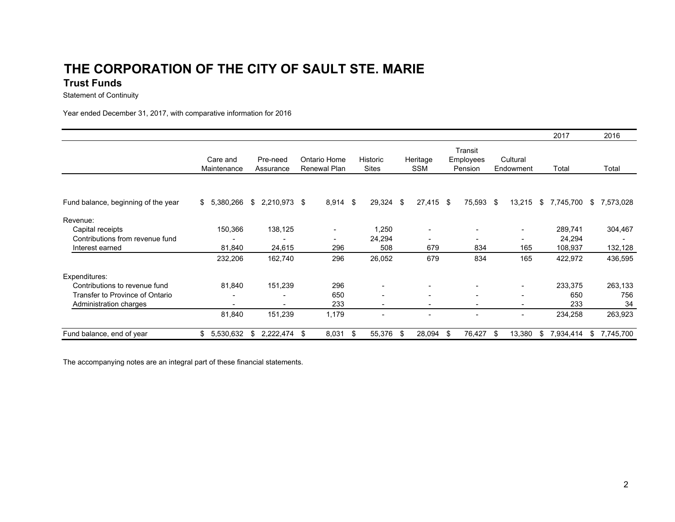### **THE CORPORATION OF THE CITY OF SAULT STE. MARI ETrust Funds**

Statement of Continuity

Year ended December 31, 2017, with comparative information for 2016

|                                     |                         |                          |                              |                          |                          |                                 |                          | 2017            | 2016            |  |
|-------------------------------------|-------------------------|--------------------------|------------------------------|--------------------------|--------------------------|---------------------------------|--------------------------|-----------------|-----------------|--|
|                                     | Care and<br>Maintenance | Pre-need<br>Assurance    | Ontario Home<br>Renewal Plan | Historic<br><b>Sites</b> | Heritage<br><b>SSM</b>   | Transit<br>Employees<br>Pension | Cultural<br>Endowment    | Total           | Total           |  |
|                                     |                         |                          |                              |                          |                          |                                 |                          |                 |                 |  |
| Fund balance, beginning of the year | 5,380,266<br>\$         | 2,210,973<br>S.          | $8,914$ \$<br>\$             | 29,324                   | 27,415 \$<br>\$          | 75,593                          | 13,215<br>- \$           | 7,745,700<br>\$ | 7,573,028<br>\$ |  |
| Revenue:                            |                         |                          |                              |                          |                          |                                 |                          |                 |                 |  |
| Capital receipts                    | 150,366                 | 138,125                  |                              | 1,250                    | ۰                        | $\overline{\phantom{a}}$        | $\overline{\phantom{a}}$ | 289,741         | 304,467         |  |
| Contributions from revenue fund     |                         |                          |                              | 24,294                   | ۰                        | $\overline{\phantom{a}}$        |                          | 24,294          |                 |  |
| Interest earned                     | 81,840                  | 24,615                   | 296                          | 508                      | 679                      | 834                             | 165                      | 108,937         | 132,128         |  |
|                                     | 232,206                 | 162,740                  | 296                          | 26,052                   | 679                      | 834                             | 165                      | 422,972         | 436,595         |  |
| Expenditures:                       |                         |                          |                              |                          |                          |                                 |                          |                 |                 |  |
| Contributions to revenue fund       | 81,840                  | 151,239                  | 296                          |                          |                          |                                 |                          | 233,375         | 263,133         |  |
| Transfer to Province of Ontario     |                         |                          | 650                          |                          | ۰                        | $\overline{\phantom{a}}$        | $\overline{\phantom{a}}$ | 650             | 756             |  |
| Administration charges              |                         | $\overline{\phantom{0}}$ | 233                          |                          | ٠                        | $\overline{\phantom{a}}$        | $\overline{\phantom{a}}$ | 233             | 34              |  |
|                                     | 81,840                  | 151,239                  | 1,179                        |                          | $\overline{\phantom{0}}$ | $\overline{\phantom{a}}$        | $\overline{\phantom{a}}$ | 234,258         | 263,923         |  |
| Fund balance, end of year           | 5,530,632<br>\$         | 2,222,474<br>\$.         | 8,031<br>\$                  | 55,376<br>\$             | 28,094<br>\$             | 76,427<br>\$                    | 13,380<br>-\$            | \$<br>7,934,414 | 7,745,700<br>\$ |  |

The accompanying notes are an integral part of these financial statements.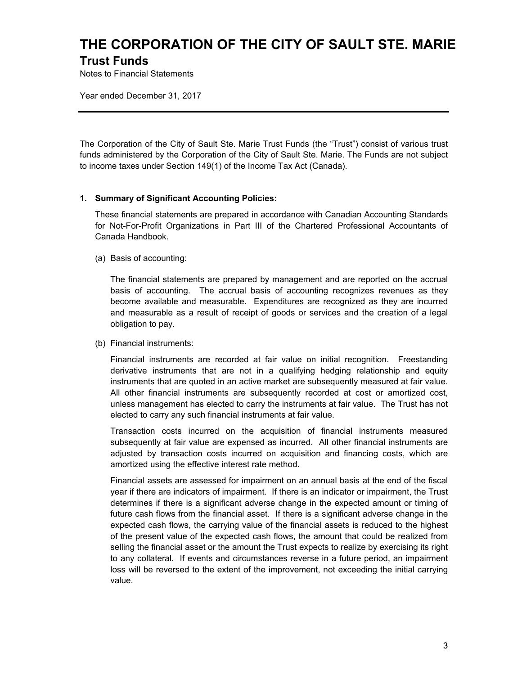# **THE CORPORATION OF THE CITY OF SAULT STE. MARIE Trust Funds**

Notes to Financial Statements

Year ended December 31, 2017

The Corporation of the City of Sault Ste. Marie Trust Funds (the "Trust") consist of various trust funds administered by the Corporation of the City of Sault Ste. Marie. The Funds are not subject to income taxes under Section 149(1) of the Income Tax Act (Canada).

### **1. Summary of Significant Accounting Policies:**

These financial statements are prepared in accordance with Canadian Accounting Standards for Not-For-Profit Organizations in Part III of the Chartered Professional Accountants of Canada Handbook.

(a) Basis of accounting:

The financial statements are prepared by management and are reported on the accrual basis of accounting. The accrual basis of accounting recognizes revenues as they become available and measurable. Expenditures are recognized as they are incurred and measurable as a result of receipt of goods or services and the creation of a legal obligation to pay.

(b) Financial instruments:

Financial instruments are recorded at fair value on initial recognition. Freestanding derivative instruments that are not in a qualifying hedging relationship and equity instruments that are quoted in an active market are subsequently measured at fair value. All other financial instruments are subsequently recorded at cost or amortized cost, unless management has elected to carry the instruments at fair value. The Trust has not elected to carry any such financial instruments at fair value.

Transaction costs incurred on the acquisition of financial instruments measured subsequently at fair value are expensed as incurred. All other financial instruments are adjusted by transaction costs incurred on acquisition and financing costs, which are amortized using the effective interest rate method.

Financial assets are assessed for impairment on an annual basis at the end of the fiscal year if there are indicators of impairment. If there is an indicator or impairment, the Trust determines if there is a significant adverse change in the expected amount or timing of future cash flows from the financial asset. If there is a significant adverse change in the expected cash flows, the carrying value of the financial assets is reduced to the highest of the present value of the expected cash flows, the amount that could be realized from selling the financial asset or the amount the Trust expects to realize by exercising its right to any collateral. If events and circumstances reverse in a future period, an impairment loss will be reversed to the extent of the improvement, not exceeding the initial carrying value.